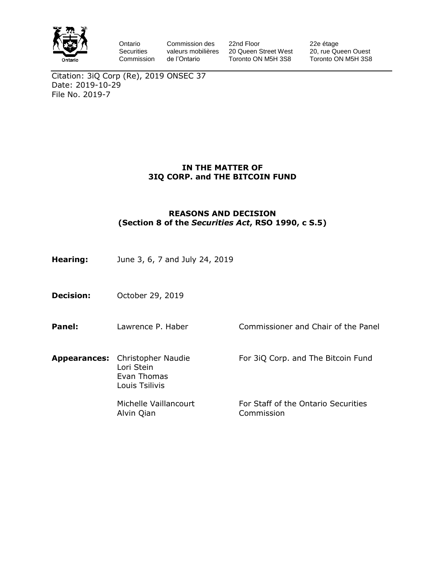

Ontario **Securities** Commission Commission des valeurs mobilières de l'Ontario

22nd Floor 20 Queen Street West Toronto ON M5H 3S8

22e étage 20, rue Queen Ouest Toronto ON M5H 3S8

Citation: 3iQ Corp (Re), 2019 ONSEC 37 Date: 2019-10-29 File No. 2019-7

#### **IN THE MATTER OF 3IQ CORP. and THE BITCOIN FUND**

#### **REASONS AND DECISION (Section 8 of the** *Securities Act***, RSO 1990, c S.5)**

- **Hearing:** June 3, 6, 7 and July 24, 2019
- **Decision:** October 29, 2019
- **Panel:** Lawrence P. Haber Commissioner and Chair of the Panel
- **Appearances:** Christopher Naudie Lori Stein Evan Thomas Louis Tsilivis

Michelle Vaillancourt Alvin Qian

For 3iQ Corp. and The Bitcoin Fund

For Staff of the Ontario Securities Commission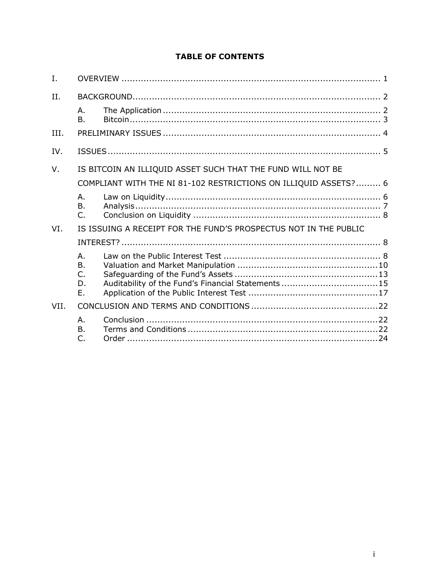|  | <b>TABLE OF CONTENTS</b> |  |
|--|--------------------------|--|
|  |                          |  |

| I.   |                                                                  |                                                                  |  |
|------|------------------------------------------------------------------|------------------------------------------------------------------|--|
| II.  |                                                                  |                                                                  |  |
|      | Α.<br><b>B.</b>                                                  |                                                                  |  |
| III. |                                                                  |                                                                  |  |
| IV.  |                                                                  |                                                                  |  |
| V.   |                                                                  | IS BITCOIN AN ILLIQUID ASSET SUCH THAT THE FUND WILL NOT BE      |  |
|      | COMPLIANT WITH THE NI 81-102 RESTRICTIONS ON ILLIQUID ASSETS?  6 |                                                                  |  |
|      | Α.<br><b>B.</b><br>$\mathsf{C}$ .                                |                                                                  |  |
| VI.  |                                                                  | IS ISSUING A RECEIPT FOR THE FUND'S PROSPECTUS NOT IN THE PUBLIC |  |
|      |                                                                  |                                                                  |  |
|      | Α.<br><b>B.</b><br>C.<br>D.<br>Ε.                                | Auditability of the Fund's Financial Statements 15               |  |
| VII. |                                                                  |                                                                  |  |
|      | Α.<br>$\mathsf{B}$ .<br>C.                                       |                                                                  |  |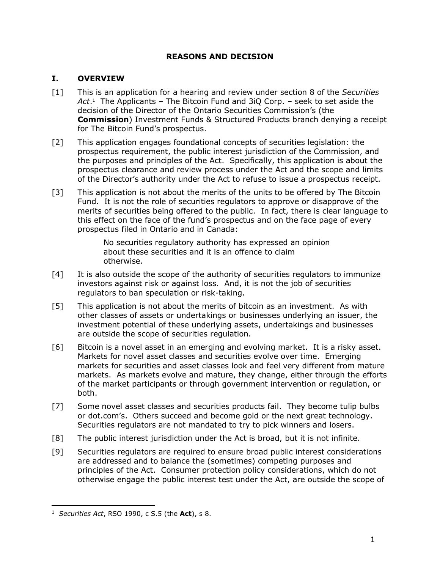### **REASONS AND DECISION**

## <span id="page-2-0"></span>**I. OVERVIEW**

- [1] This is an application for a hearing and review under section 8 of the *Securities Act*. <sup>1</sup> The Applicants – The Bitcoin Fund and 3iQ Corp. – seek to set aside the decision of the Director of the Ontario Securities Commission's (the **Commission**) Investment Funds & Structured Products branch denying a receipt for The Bitcoin Fund's prospectus.
- [2] This application engages foundational concepts of securities legislation: the prospectus requirement, the public interest jurisdiction of the Commission, and the purposes and principles of the Act. Specifically, this application is about the prospectus clearance and review process under the Act and the scope and limits of the Director's authority under the Act to refuse to issue a prospectus receipt.
- [3] This application is not about the merits of the units to be offered by The Bitcoin Fund. It is not the role of securities regulators to approve or disapprove of the merits of securities being offered to the public. In fact, there is clear language to this effect on the face of the fund's prospectus and on the face page of every prospectus filed in Ontario and in Canada:

No securities regulatory authority has expressed an opinion about these securities and it is an offence to claim otherwise.

- [4] It is also outside the scope of the authority of securities regulators to immunize investors against risk or against loss. And, it is not the job of securities regulators to ban speculation or risk-taking.
- [5] This application is not about the merits of bitcoin as an investment. As with other classes of assets or undertakings or businesses underlying an issuer, the investment potential of these underlying assets, undertakings and businesses are outside the scope of securities regulation.
- [6] Bitcoin is a novel asset in an emerging and evolving market. It is a risky asset. Markets for novel asset classes and securities evolve over time. Emerging markets for securities and asset classes look and feel very different from mature markets. As markets evolve and mature, they change, either through the efforts of the market participants or through government intervention or regulation, or both.
- [7] Some novel asset classes and securities products fail. They become tulip bulbs or dot.com's. Others succeed and become gold or the next great technology. Securities regulators are not mandated to try to pick winners and losers.
- [8] The public interest jurisdiction under the Act is broad, but it is not infinite.
- [9] Securities regulators are required to ensure broad public interest considerations are addressed and to balance the (sometimes) competing purposes and principles of the Act. Consumer protection policy considerations, which do not otherwise engage the public interest test under the Act, are outside the scope of

<sup>1</sup> *Securities Act*, RSO 1990, c S.5 (the **Act**), s 8.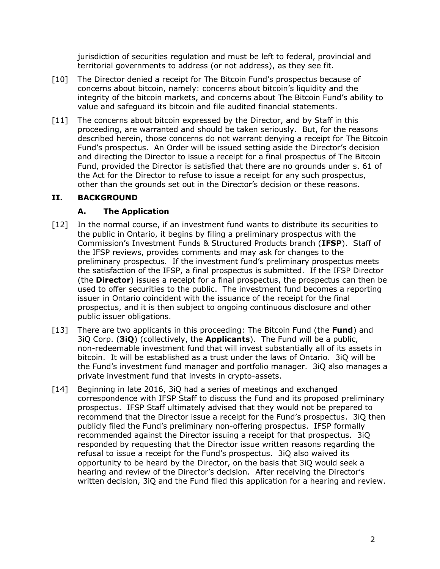jurisdiction of securities regulation and must be left to federal, provincial and territorial governments to address (or not address), as they see fit.

- [10] The Director denied a receipt for The Bitcoin Fund's prospectus because of concerns about bitcoin, namely: concerns about bitcoin's liquidity and the integrity of the bitcoin markets, and concerns about The Bitcoin Fund's ability to value and safeguard its bitcoin and file audited financial statements.
- [11] The concerns about bitcoin expressed by the Director, and by Staff in this proceeding, are warranted and should be taken seriously. But, for the reasons described herein, those concerns do not warrant denying a receipt for The Bitcoin Fund's prospectus. An Order will be issued setting aside the Director's decision and directing the Director to issue a receipt for a final prospectus of The Bitcoin Fund, provided the Director is satisfied that there are no grounds under s. 61 of the Act for the Director to refuse to issue a receipt for any such prospectus, other than the grounds set out in the Director's decision or these reasons.

# <span id="page-3-0"></span>**II. BACKGROUND**

# **A. The Application**

- <span id="page-3-1"></span>[12] In the normal course, if an investment fund wants to distribute its securities to the public in Ontario, it begins by filing a preliminary prospectus with the Commission's Investment Funds & Structured Products branch (**IFSP**). Staff of the IFSP reviews, provides comments and may ask for changes to the preliminary prospectus. If the investment fund's preliminary prospectus meets the satisfaction of the IFSP, a final prospectus is submitted. If the IFSP Director (the **Director**) issues a receipt for a final prospectus, the prospectus can then be used to offer securities to the public. The investment fund becomes a reporting issuer in Ontario coincident with the issuance of the receipt for the final prospectus, and it is then subject to ongoing continuous disclosure and other public issuer obligations.
- [13] There are two applicants in this proceeding: The Bitcoin Fund (the **Fund**) and 3iQ Corp. (**3iQ**) (collectively, the **Applicants**). The Fund will be a public, non-redeemable investment fund that will invest substantially all of its assets in bitcoin. It will be established as a trust under the laws of Ontario. 3iQ will be the Fund's investment fund manager and portfolio manager. 3iQ also manages a private investment fund that invests in crypto-assets.
- [14] Beginning in late 2016, 3iQ had a series of meetings and exchanged correspondence with IFSP Staff to discuss the Fund and its proposed preliminary prospectus. IFSP Staff ultimately advised that they would not be prepared to recommend that the Director issue a receipt for the Fund's prospectus. 3iQ then publicly filed the Fund's preliminary non-offering prospectus. IFSP formally recommended against the Director issuing a receipt for that prospectus. 3iQ responded by requesting that the Director issue written reasons regarding the refusal to issue a receipt for the Fund's prospectus. 3iQ also waived its opportunity to be heard by the Director, on the basis that 3iQ would seek a hearing and review of the Director's decision. After receiving the Director's written decision, 3iQ and the Fund filed this application for a hearing and review.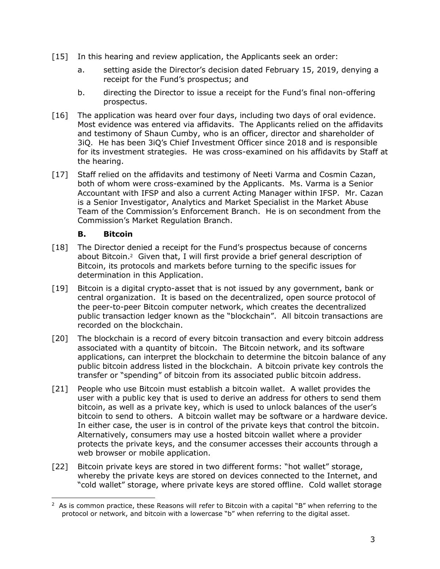- [15] In this hearing and review application, the Applicants seek an order:
	- a. setting aside the Director's decision dated February 15, 2019, denying a receipt for the Fund's prospectus; and
	- b. directing the Director to issue a receipt for the Fund's final non-offering prospectus.
- [16] The application was heard over four days, including two days of oral evidence. Most evidence was entered via affidavits. The Applicants relied on the affidavits and testimony of Shaun Cumby, who is an officer, director and shareholder of 3iQ. He has been 3iQ's Chief Investment Officer since 2018 and is responsible for its investment strategies. He was cross-examined on his affidavits by Staff at the hearing.
- [17] Staff relied on the affidavits and testimony of Neeti Varma and Cosmin Cazan, both of whom were cross-examined by the Applicants. Ms. Varma is a Senior Accountant with IFSP and also a current Acting Manager within IFSP. Mr. Cazan is a Senior Investigator, Analytics and Market Specialist in the Market Abuse Team of the Commission's Enforcement Branch. He is on secondment from the Commission's Market Regulation Branch.

### **B. Bitcoin**

- <span id="page-4-0"></span>[18] The Director denied a receipt for the Fund's prospectus because of concerns about Bitcoin.<sup>2</sup> Given that, I will first provide a brief general description of Bitcoin, its protocols and markets before turning to the specific issues for determination in this Application.
- [19] Bitcoin is a digital crypto-asset that is not issued by any government, bank or central organization. It is based on the decentralized, open source protocol of the peer-to-peer Bitcoin computer network, which creates the decentralized public transaction ledger known as the "blockchain". All bitcoin transactions are recorded on the blockchain.
- [20] The blockchain is a record of every bitcoin transaction and every bitcoin address associated with a quantity of bitcoin. The Bitcoin network, and its software applications, can interpret the blockchain to determine the bitcoin balance of any public bitcoin address listed in the blockchain. A bitcoin private key controls the transfer or "spending" of bitcoin from its associated public bitcoin address.
- [21] People who use Bitcoin must establish a bitcoin wallet. A wallet provides the user with a public key that is used to derive an address for others to send them bitcoin, as well as a private key, which is used to unlock balances of the user's bitcoin to send to others. A bitcoin wallet may be software or a hardware device. In either case, the user is in control of the private keys that control the bitcoin. Alternatively, consumers may use a hosted bitcoin wallet where a provider protects the private keys, and the consumer accesses their accounts through a web browser or mobile application.
- [22] Bitcoin private keys are stored in two different forms: "hot wallet" storage, whereby the private keys are stored on devices connected to the Internet, and "cold wallet" storage, where private keys are stored offline. Cold wallet storage

 $\overline{a}$  $2$  As is common practice, these Reasons will refer to Bitcoin with a capital "B" when referring to the protocol or network, and bitcoin with a lowercase "b" when referring to the digital asset.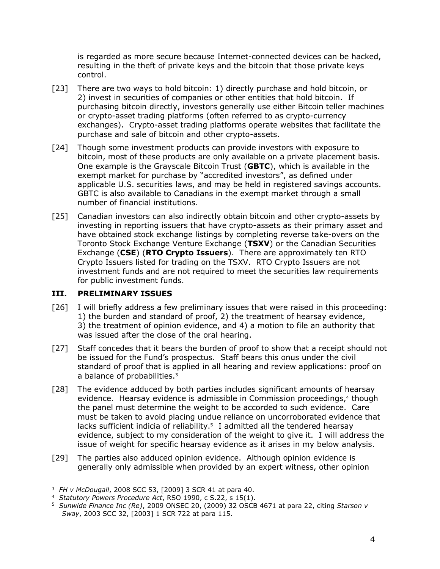is regarded as more secure because Internet-connected devices can be hacked, resulting in the theft of private keys and the bitcoin that those private keys control.

- [23] There are two ways to hold bitcoin: 1) directly purchase and hold bitcoin, or 2) invest in securities of companies or other entities that hold bitcoin. If purchasing bitcoin directly, investors generally use either Bitcoin teller machines or crypto-asset trading platforms (often referred to as crypto-currency exchanges). Crypto-asset trading platforms operate websites that facilitate the purchase and sale of bitcoin and other crypto-assets.
- [24] Though some investment products can provide investors with exposure to bitcoin, most of these products are only available on a private placement basis. One example is the Grayscale Bitcoin Trust (**GBTC**), which is available in the exempt market for purchase by "accredited investors", as defined under applicable U.S. securities laws, and may be held in registered savings accounts. GBTC is also available to Canadians in the exempt market through a small number of financial institutions.
- [25] Canadian investors can also indirectly obtain bitcoin and other crypto-assets by investing in reporting issuers that have crypto-assets as their primary asset and have obtained stock exchange listings by completing reverse take-overs on the Toronto Stock Exchange Venture Exchange (**TSXV**) or the Canadian Securities Exchange (**CSE**) (**RTO Crypto Issuers**). There are approximately ten RTO Crypto Issuers listed for trading on the TSXV. RTO Crypto Issuers are not investment funds and are not required to meet the securities law requirements for public investment funds.

#### <span id="page-5-0"></span>**III. PRELIMINARY ISSUES**

- [26] I will briefly address a few preliminary issues that were raised in this proceeding: 1) the burden and standard of proof, 2) the treatment of hearsay evidence, 3) the treatment of opinion evidence, and 4) a motion to file an authority that was issued after the close of the oral hearing.
- [27] Staff concedes that it bears the burden of proof to show that a receipt should not be issued for the Fund's prospectus. Staff bears this onus under the civil standard of proof that is applied in all hearing and review applications: proof on a balance of probabilities.<sup>3</sup>
- [28] The evidence adduced by both parties includes significant amounts of hearsay evidence. Hearsay evidence is admissible in Commission proceedings, <sup>4</sup> though the panel must determine the weight to be accorded to such evidence. Care must be taken to avoid placing undue reliance on uncorroborated evidence that lacks sufficient indicia of reliability.<sup>5</sup> I admitted all the tendered hearsay evidence, subject to my consideration of the weight to give it. I will address the issue of weight for specific hearsay evidence as it arises in my below analysis.
- [29] The parties also adduced opinion evidence. Although opinion evidence is generally only admissible when provided by an expert witness, other opinion

 $\overline{a}$ <sup>3</sup> *FH v McDougall*, 2008 SCC 53, [2009] 3 SCR 41 at para 40.

<sup>4</sup> *Statutory Powers Procedure Act*, RSO 1990, c S.22, s 15(1).

<sup>5</sup> *Sunwide Finance Inc (Re)*, 2009 ONSEC 20, (2009) 32 OSCB 4671 at para 22, citing *Starson v Sway*, 2003 SCC 32, [2003] 1 SCR 722 at para 115.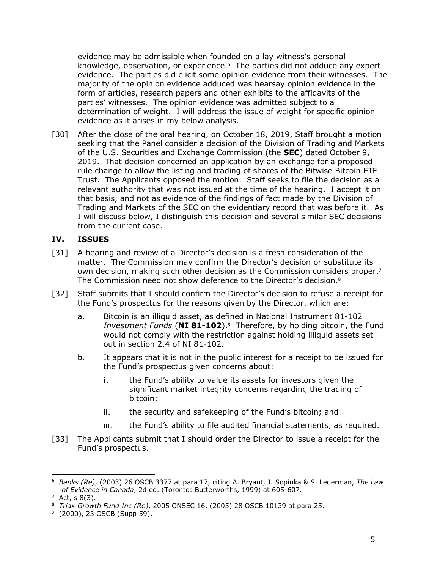evidence may be admissible when founded on a lay witness's personal knowledge, observation, or experience.<sup>6</sup> The parties did not adduce any expert evidence. The parties did elicit some opinion evidence from their witnesses. The majority of the opinion evidence adduced was hearsay opinion evidence in the form of articles, research papers and other exhibits to the affidavits of the parties' witnesses. The opinion evidence was admitted subject to a determination of weight. I will address the issue of weight for specific opinion evidence as it arises in my below analysis.

[30] After the close of the oral hearing, on October 18, 2019, Staff brought a motion seeking that the Panel consider a decision of the Division of Trading and Markets of the U.S. Securities and Exchange Commission (the **SEC**) dated October 9, 2019. That decision concerned an application by an exchange for a proposed rule change to allow the listing and trading of shares of the Bitwise Bitcoin ETF Trust. The Applicants opposed the motion. Staff seeks to file the decision as a relevant authority that was not issued at the time of the hearing. I accept it on that basis, and not as evidence of the findings of fact made by the Division of Trading and Markets of the SEC on the evidentiary record that was before it. As I will discuss below, I distinguish this decision and several similar SEC decisions from the current case.

### <span id="page-6-0"></span>**IV. ISSUES**

- [31] A hearing and review of a Director's decision is a fresh consideration of the matter. The Commission may confirm the Director's decision or substitute its own decision, making such other decision as the Commission considers proper. 7 The Commission need not show deference to the Director's decision. 8
- [32] Staff submits that I should confirm the Director's decision to refuse a receipt for the Fund's prospectus for the reasons given by the Director, which are:
	- a. Bitcoin is an illiquid asset, as defined in National Instrument 81-102 *Investment Funds* (**NI 81-102**). 9 Therefore, by holding bitcoin, the Fund would not comply with the restriction against holding illiquid assets set out in section 2.4 of NI 81-102.
	- b. It appears that it is not in the public interest for a receipt to be issued for the Fund's prospectus given concerns about:
		- i. the Fund's ability to value its assets for investors given the significant market integrity concerns regarding the trading of bitcoin;
		- ii. the security and safekeeping of the Fund's bitcoin; and
		- iii. the Fund's ability to file audited financial statements, as required.
- [33] The Applicants submit that I should order the Director to issue a receipt for the Fund's prospectus.

<sup>6</sup> *Banks (Re)*, (2003) 26 OSCB 3377 at para 17, citing A. Bryant, J. Sopinka & S. Lederman, *The Law of Evidence in Canada*, 2d ed. (Toronto: Butterworths, 1999) at 605-607.

 $7$  Act, s  $8(3)$ .

<sup>8</sup> *Triax Growth Fund Inc (Re)*, 2005 ONSEC 16, (2005) 28 OSCB 10139 at para 25.

<sup>&</sup>lt;sup>9</sup> (2000), 23 OSCB (Supp 59).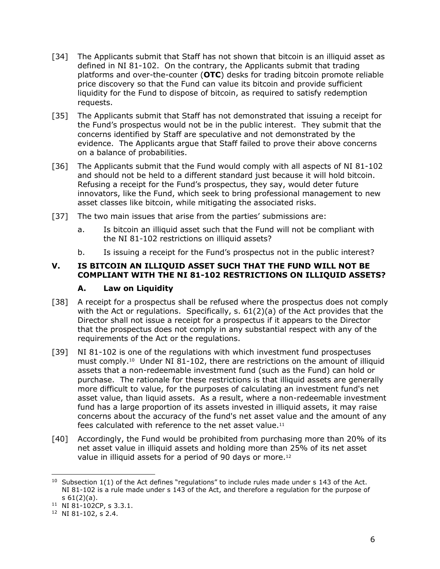- [34] The Applicants submit that Staff has not shown that bitcoin is an illiquid asset as defined in NI 81-102. On the contrary, the Applicants submit that trading platforms and over-the-counter (**OTC**) desks for trading bitcoin promote reliable price discovery so that the Fund can value its bitcoin and provide sufficient liquidity for the Fund to dispose of bitcoin, as required to satisfy redemption requests.
- [35] The Applicants submit that Staff has not demonstrated that issuing a receipt for the Fund's prospectus would not be in the public interest. They submit that the concerns identified by Staff are speculative and not demonstrated by the evidence. The Applicants argue that Staff failed to prove their above concerns on a balance of probabilities.
- [36] The Applicants submit that the Fund would comply with all aspects of NI 81-102 and should not be held to a different standard just because it will hold bitcoin. Refusing a receipt for the Fund's prospectus, they say, would deter future innovators, like the Fund, which seek to bring professional management to new asset classes like bitcoin, while mitigating the associated risks.
- [37] The two main issues that arise from the parties' submissions are:
	- a. Is bitcoin an illiquid asset such that the Fund will not be compliant with the NI 81-102 restrictions on illiquid assets?
	- b. Is issuing a receipt for the Fund's prospectus not in the public interest?

### <span id="page-7-0"></span>**V. IS BITCOIN AN ILLIQUID ASSET SUCH THAT THE FUND WILL NOT BE COMPLIANT WITH THE NI 81-102 RESTRICTIONS ON ILLIQUID ASSETS?**

#### **A. Law on Liquidity**

- <span id="page-7-1"></span>[38] A receipt for a prospectus shall be refused where the prospectus does not comply with the Act or regulations. Specifically,  $s. 61(2)(a)$  of the Act provides that the Director shall not issue a receipt for a prospectus if it appears to the Director that the prospectus does not comply in any substantial respect with any of the requirements of the Act or the regulations.
- [39] NI 81-102 is one of the regulations with which investment fund prospectuses must comply.<sup>10</sup> Under NI 81-102, there are restrictions on the amount of illiquid assets that a non-redeemable investment fund (such as the Fund) can hold or purchase. The rationale for these restrictions is that illiquid assets are generally more difficult to value, for the purposes of calculating an investment fund's net asset value, than liquid assets. As a result, where a non-redeemable investment fund has a large proportion of its assets invested in illiquid assets, it may raise concerns about the accuracy of the fund's net asset value and the amount of any fees calculated with reference to the net asset value.<sup>11</sup>
- [40] Accordingly, the Fund would be prohibited from purchasing more than 20% of its net asset value in illiquid assets and holding more than 25% of its net asset value in illiquid assets for a period of 90 days or more.<sup>12</sup>

<sup>&</sup>lt;sup>10</sup> Subsection  $1(1)$  of the Act defines "regulations" to include rules made under s 143 of the Act. NI 81-102 is a rule made under s 143 of the Act, and therefore a regulation for the purpose of s 61(2)(a).

<sup>11</sup> NI 81-102CP, s 3.3.1.

<sup>12</sup> NI 81-102, s 2.4.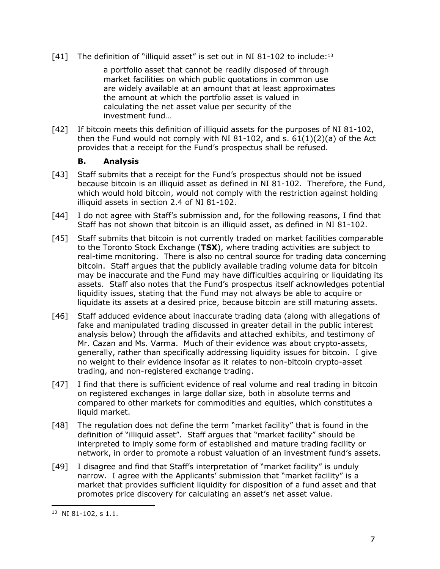[41] The definition of "illiquid asset" is set out in NI 81-102 to include:<sup>13</sup>

a portfolio asset that cannot be readily disposed of through market facilities on which public quotations in common use are widely available at an amount that at least approximates the amount at which the portfolio asset is valued in calculating the net asset value per security of the investment fund…

[42] If bitcoin meets this definition of illiquid assets for the purposes of NI 81-102, then the Fund would not comply with NI 81-102, and s.  $61(1)(2)(a)$  of the Act provides that a receipt for the Fund's prospectus shall be refused.

#### **B. Analysis**

- <span id="page-8-0"></span>[43] Staff submits that a receipt for the Fund's prospectus should not be issued because bitcoin is an illiquid asset as defined in NI 81-102. Therefore, the Fund, which would hold bitcoin, would not comply with the restriction against holding illiquid assets in section 2.4 of NI 81-102.
- [44] I do not agree with Staff's submission and, for the following reasons, I find that Staff has not shown that bitcoin is an illiquid asset, as defined in NI 81-102.
- [45] Staff submits that bitcoin is not currently traded on market facilities comparable to the Toronto Stock Exchange (**TSX**), where trading activities are subject to real-time monitoring. There is also no central source for trading data concerning bitcoin. Staff argues that the publicly available trading volume data for bitcoin may be inaccurate and the Fund may have difficulties acquiring or liquidating its assets. Staff also notes that the Fund's prospectus itself acknowledges potential liquidity issues, stating that the Fund may not always be able to acquire or liquidate its assets at a desired price, because bitcoin are still maturing assets.
- [46] Staff adduced evidence about inaccurate trading data (along with allegations of fake and manipulated trading discussed in greater detail in the public interest analysis below) through the affidavits and attached exhibits, and testimony of Mr. Cazan and Ms. Varma. Much of their evidence was about crypto-assets, generally, rather than specifically addressing liquidity issues for bitcoin. I give no weight to their evidence insofar as it relates to non-bitcoin crypto-asset trading, and non-registered exchange trading.
- [47] I find that there is sufficient evidence of real volume and real trading in bitcoin on registered exchanges in large dollar size, both in absolute terms and compared to other markets for commodities and equities, which constitutes a liquid market.
- [48] The regulation does not define the term "market facility" that is found in the definition of "illiquid asset". Staff argues that "market facility" should be interpreted to imply some form of established and mature trading facility or network, in order to promote a robust valuation of an investment fund's assets.
- [49] I disagree and find that Staff's interpretation of "market facility" is unduly narrow. I agree with the Applicants' submission that "market facility" is a market that provides sufficient liquidity for disposition of a fund asset and that promotes price discovery for calculating an asset's net asset value.

<sup>13</sup> NI 81-102, s 1.1.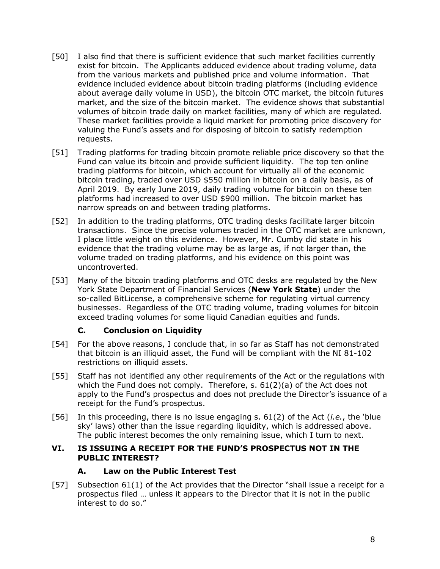- [50] I also find that there is sufficient evidence that such market facilities currently exist for bitcoin. The Applicants adduced evidence about trading volume, data from the various markets and published price and volume information. That evidence included evidence about bitcoin trading platforms (including evidence about average daily volume in USD), the bitcoin OTC market, the bitcoin futures market, and the size of the bitcoin market. The evidence shows that substantial volumes of bitcoin trade daily on market facilities, many of which are regulated. These market facilities provide a liquid market for promoting price discovery for valuing the Fund's assets and for disposing of bitcoin to satisfy redemption requests.
- [51] Trading platforms for trading bitcoin promote reliable price discovery so that the Fund can value its bitcoin and provide sufficient liquidity. The top ten online trading platforms for bitcoin, which account for virtually all of the economic bitcoin trading, traded over USD \$550 million in bitcoin on a daily basis, as of April 2019. By early June 2019, daily trading volume for bitcoin on these ten platforms had increased to over USD \$900 million. The bitcoin market has narrow spreads on and between trading platforms.
- [52] In addition to the trading platforms, OTC trading desks facilitate larger bitcoin transactions. Since the precise volumes traded in the OTC market are unknown, I place little weight on this evidence. However, Mr. Cumby did state in his evidence that the trading volume may be as large as, if not larger than, the volume traded on trading platforms, and his evidence on this point was uncontroverted.
- [53] Many of the bitcoin trading platforms and OTC desks are regulated by the New York State Department of Financial Services (**New York State**) under the so-called BitLicense, a comprehensive scheme for regulating virtual currency businesses. Regardless of the OTC trading volume, trading volumes for bitcoin exceed trading volumes for some liquid Canadian equities and funds.

## **C. Conclusion on Liquidity**

- <span id="page-9-0"></span>[54] For the above reasons, I conclude that, in so far as Staff has not demonstrated that bitcoin is an illiquid asset, the Fund will be compliant with the NI 81-102 restrictions on illiquid assets.
- [55] Staff has not identified any other requirements of the Act or the regulations with which the Fund does not comply. Therefore, s. 61(2)(a) of the Act does not apply to the Fund's prospectus and does not preclude the Director's issuance of a receipt for the Fund's prospectus.
- [56] In this proceeding, there is no issue engaging s. 61(2) of the Act (*i.e.*, the 'blue sky' laws) other than the issue regarding liquidity, which is addressed above. The public interest becomes the only remaining issue, which I turn to next.

### <span id="page-9-1"></span>**VI. IS ISSUING A RECEIPT FOR THE FUND'S PROSPECTUS NOT IN THE PUBLIC INTEREST?**

## **A. Law on the Public Interest Test**

<span id="page-9-2"></span>[57] Subsection 61(1) of the Act provides that the Director "shall issue a receipt for a prospectus filed … unless it appears to the Director that it is not in the public interest to do so."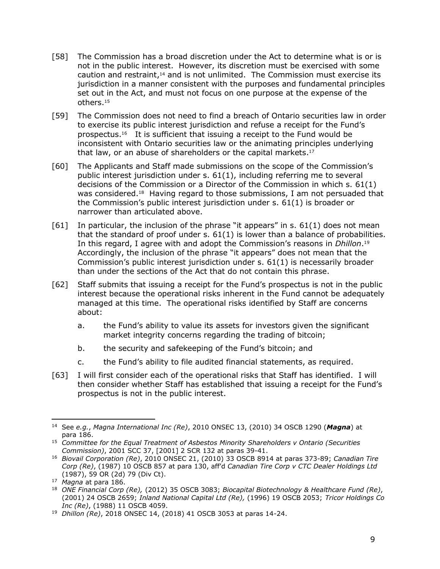- <span id="page-10-0"></span>[58] The Commission has a broad discretion under the Act to determine what is or is not in the public interest. However, its discretion must be exercised with some caution and restraint,<sup>14</sup> and is not unlimited. The Commission must exercise its jurisdiction in a manner consistent with the purposes and fundamental principles set out in the Act, and must not focus on one purpose at the expense of the others.<sup>15</sup>
- [59] The Commission does not need to find a breach of Ontario securities law in order to exercise its public interest jurisdiction and refuse a receipt for the Fund's prospectus.<sup>16</sup> It is sufficient that issuing a receipt to the Fund would be inconsistent with Ontario securities law or the animating principles underlying that law, or an abuse of shareholders or the capital markets. 17
- [60] The Applicants and Staff made submissions on the scope of the Commission's public interest jurisdiction under s. 61(1), including referring me to several decisions of the Commission or a Director of the Commission in which s. 61(1) was considered.<sup>18</sup> Having regard to those submissions, I am not persuaded that the Commission's public interest jurisdiction under s. 61(1) is broader or narrower than articulated above.
- $[61]$  In particular, the inclusion of the phrase "it appears" in s.  $61(1)$  does not mean that the standard of proof under s. 61(1) is lower than a balance of probabilities. In this regard, I agree with and adopt the Commission's reasons in *Dhillon*. 19 Accordingly, the inclusion of the phrase "it appears" does not mean that the Commission's public interest jurisdiction under s. 61(1) is necessarily broader than under the sections of the Act that do not contain this phrase.
- [62] Staff submits that issuing a receipt for the Fund's prospectus is not in the public interest because the operational risks inherent in the Fund cannot be adequately managed at this time. The operational risks identified by Staff are concerns about:
	- a. the Fund's ability to value its assets for investors given the significant market integrity concerns regarding the trading of bitcoin;
	- b. the security and safekeeping of the Fund's bitcoin; and
	- c. the Fund's ability to file audited financial statements, as required.
- [63] I will first consider each of the operational risks that Staff has identified. I will then consider whether Staff has established that issuing a receipt for the Fund's prospectus is not in the public interest.

j

<sup>14</sup> See *e.g.*, *Magna International Inc (Re)*, 2010 ONSEC 13, (2010) 34 OSCB 1290 (*Magna*) at para 186.

<sup>15</sup> *Committee for the Equal Treatment of Asbestos Minority Shareholders v Ontario (Securities Commission)*, 2001 SCC 37, [2001] 2 SCR 132 at paras 39-41.

<sup>16</sup> *Biovail Corporation (Re)*, 2010 ONSEC 21, (2010) 33 OSCB 8914 at paras 373-89; *Canadian Tire Corp (Re)*, (1987) 10 OSCB 857 at para 130, aff'd *Canadian Tire Corp v CTC Dealer Holdings Ltd*  (1987), 59 OR (2d) 79 (Div Ct).

<sup>17</sup> *Magna* at para 186.

<sup>18</sup> *ONE Financial Corp (Re),* (2012) 35 OSCB 3083; *Biocapital Biotechnology & Healthcare Fund (Re)*, (2001) 24 OSCB 2659; *Inland National Capital Ltd (Re),* (1996) 19 OSCB 2053; *Tricor Holdings Co Inc (Re)*, (1988) 11 OSCB 4059.

<sup>19</sup> *Dhillon (Re)*, 2018 ONSEC 14, (2018) 41 OSCB 3053 at paras 14-24.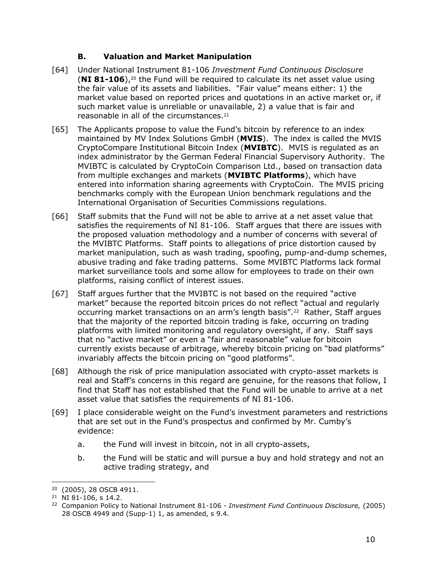### **B. Valuation and Market Manipulation**

- [64] Under National Instrument 81-106 *Investment Fund Continuous Disclosure* (**NI 81-106**),<sup>20</sup> the Fund will be required to calculate its net asset value using the fair value of its assets and liabilities. "Fair value" means either: 1) the market value based on reported prices and quotations in an active market or, if such market value is unreliable or unavailable, 2) a value that is fair and reasonable in all of the circumstances.<sup>21</sup>
- [65] The Applicants propose to value the Fund's bitcoin by reference to an index maintained by MV Index Solutions GmbH (**MVIS**). The index is called the MVIS CryptoCompare Institutional Bitcoin Index (**MVIBTC**). MVIS is regulated as an index administrator by the German Federal Financial Supervisory Authority. The MVIBTC is calculated by CryptoCoin Comparison Ltd., based on transaction data from multiple exchanges and markets (**MVIBTC Platforms**), which have entered into information sharing agreements with CryptoCoin. The MVIS pricing benchmarks comply with the European Union benchmark regulations and the International Organisation of Securities Commissions regulations.
- [66] Staff submits that the Fund will not be able to arrive at a net asset value that satisfies the requirements of NI 81-106. Staff argues that there are issues with the proposed valuation methodology and a number of concerns with several of the MVIBTC Platforms. Staff points to allegations of price distortion caused by market manipulation, such as wash trading, spoofing, pump-and-dump schemes, abusive trading and fake trading patterns. Some MVIBTC Platforms lack formal market surveillance tools and some allow for employees to trade on their own platforms, raising conflict of interest issues.
- [67] Staff argues further that the MVIBTC is not based on the required "active market" because the reported bitcoin prices do not reflect "actual and regularly occurring market transactions on an arm's length basis".<sup>22</sup> Rather, Staff argues that the majority of the reported bitcoin trading is fake, occurring on trading platforms with limited monitoring and regulatory oversight, if any. Staff says that no "active market" or even a "fair and reasonable" value for bitcoin currently exists because of arbitrage, whereby bitcoin pricing on "bad platforms" invariably affects the bitcoin pricing on "good platforms".
- [68] Although the risk of price manipulation associated with crypto-asset markets is real and Staff's concerns in this regard are genuine, for the reasons that follow, I find that Staff has not established that the Fund will be unable to arrive at a net asset value that satisfies the requirements of NI 81-106.
- [69] I place considerable weight on the Fund's investment parameters and restrictions that are set out in the Fund's prospectus and confirmed by Mr. Cumby's evidence:
	- a. the Fund will invest in bitcoin, not in all crypto-assets,
	- b. the Fund will be static and will pursue a buy and hold strategy and not an active trading strategy, and

<sup>&</sup>lt;sup>20</sup> (2005), 28 OSCB 4911.

 $21$  NI 81-106, s 14.2.

<sup>22</sup> Companion Policy to National Instrument 81-106 - *Investment Fund Continuous Disclosure,* (2005) 28 OSCB 4949 and (Supp-1) 1, as amended, s 9.4.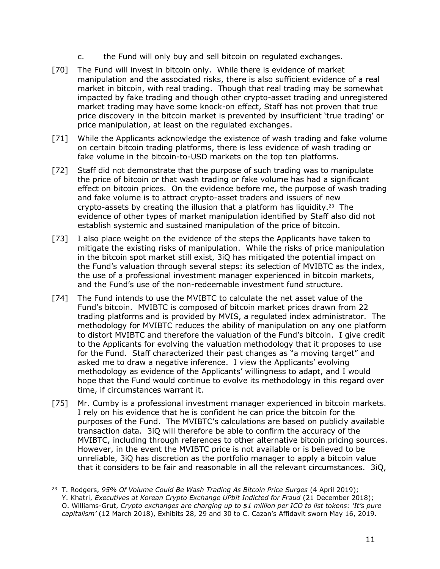- c. the Fund will only buy and sell bitcoin on regulated exchanges.
- [70] The Fund will invest in bitcoin only. While there is evidence of market manipulation and the associated risks, there is also sufficient evidence of a real market in bitcoin, with real trading. Though that real trading may be somewhat impacted by fake trading and though other crypto-asset trading and unregistered market trading may have some knock-on effect, Staff has not proven that true price discovery in the bitcoin market is prevented by insufficient 'true trading' or price manipulation, at least on the regulated exchanges.
- [71] While the Applicants acknowledge the existence of wash trading and fake volume on certain bitcoin trading platforms, there is less evidence of wash trading or fake volume in the bitcoin-to-USD markets on the top ten platforms.
- [72] Staff did not demonstrate that the purpose of such trading was to manipulate the price of bitcoin or that wash trading or fake volume has had a significant effect on bitcoin prices. On the evidence before me, the purpose of wash trading and fake volume is to attract crypto-asset traders and issuers of new crypto-assets by creating the illusion that a platform has liquidity.<sup>23</sup> The evidence of other types of market manipulation identified by Staff also did not establish systemic and sustained manipulation of the price of bitcoin.
- [73] I also place weight on the evidence of the steps the Applicants have taken to mitigate the existing risks of manipulation. While the risks of price manipulation in the bitcoin spot market still exist, 3iQ has mitigated the potential impact on the Fund's valuation through several steps: its selection of MVIBTC as the index, the use of a professional investment manager experienced in bitcoin markets, and the Fund's use of the non-redeemable investment fund structure.
- [74] The Fund intends to use the MVIBTC to calculate the net asset value of the Fund's bitcoin. MVIBTC is composed of bitcoin market prices drawn from 22 trading platforms and is provided by MVIS, a regulated index administrator. The methodology for MVIBTC reduces the ability of manipulation on any one platform to distort MVIBTC and therefore the valuation of the Fund's bitcoin. I give credit to the Applicants for evolving the valuation methodology that it proposes to use for the Fund. Staff characterized their past changes as "a moving target" and asked me to draw a negative inference. I view the Applicants' evolving methodology as evidence of the Applicants' willingness to adapt, and I would hope that the Fund would continue to evolve its methodology in this regard over time, if circumstances warrant it.
- [75] Mr. Cumby is a professional investment manager experienced in bitcoin markets. I rely on his evidence that he is confident he can price the bitcoin for the purposes of the Fund. The MVIBTC's calculations are based on publicly available transaction data. 3iQ will therefore be able to confirm the accuracy of the MVIBTC, including through references to other alternative bitcoin pricing sources. However, in the event the MVIBTC price is not available or is believed to be unreliable, 3iQ has discretion as the portfolio manager to apply a bitcoin value that it considers to be fair and reasonable in all the relevant circumstances. 3iQ,

<sup>23</sup> T. Rodgers, *95% Of Volume Could Be Wash Trading As Bitcoin Price Surges* (4 April 2019); Y. Khatri, *Executives at Korean Crypto Exchange UPbit Indicted for Fraud* (21 December 2018); O. Williams-Grut, *Crypto exchanges are charging up to \$1 million per ICO to list tokens: 'It's pure capitalism'* (12 March 2018), Exhibits 28, 29 and 30 to C. Cazan's Affidavit sworn May 16, 2019.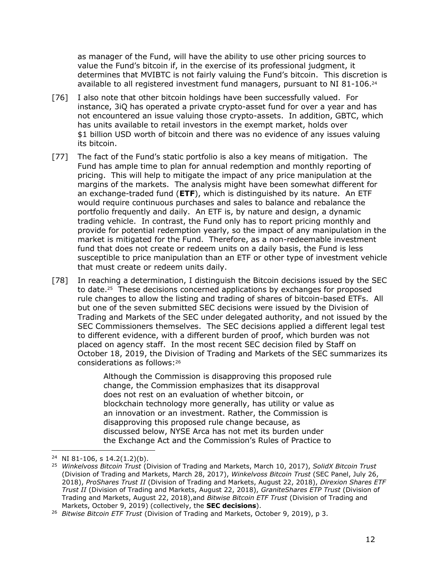as manager of the Fund, will have the ability to use other pricing sources to value the Fund's bitcoin if, in the exercise of its professional judgment, it determines that MVIBTC is not fairly valuing the Fund's bitcoin. This discretion is available to all registered investment fund managers, pursuant to NI 81-106. $^{24}$ 

- [76] I also note that other bitcoin holdings have been successfully valued. For instance, 3iQ has operated a private crypto-asset fund for over a year and has not encountered an issue valuing those crypto-assets. In addition, GBTC, which has units available to retail investors in the exempt market, holds over \$1 billion USD worth of bitcoin and there was no evidence of any issues valuing its bitcoin.
- [77] The fact of the Fund's static portfolio is also a key means of mitigation. The Fund has ample time to plan for annual redemption and monthly reporting of pricing. This will help to mitigate the impact of any price manipulation at the margins of the markets. The analysis might have been somewhat different for an exchange-traded fund (**ETF**), which is distinguished by its nature. An ETF would require continuous purchases and sales to balance and rebalance the portfolio frequently and daily. An ETF is, by nature and design, a dynamic trading vehicle. In contrast, the Fund only has to report pricing monthly and provide for potential redemption yearly, so the impact of any manipulation in the market is mitigated for the Fund. Therefore, as a non-redeemable investment fund that does not create or redeem units on a daily basis, the Fund is less susceptible to price manipulation than an ETF or other type of investment vehicle that must create or redeem units daily.
- [78] In reaching a determination, I distinguish the Bitcoin decisions issued by the SEC to date. <sup>25</sup> These decisions concerned applications by exchanges for proposed rule changes to allow the listing and trading of shares of bitcoin-based ETFs. All but one of the seven submitted SEC decisions were issued by the Division of Trading and Markets of the SEC under delegated authority, and not issued by the SEC Commissioners themselves. The SEC decisions applied a different legal test to different evidence, with a different burden of proof, which burden was not placed on agency staff. In the most recent SEC decision filed by Staff on October 18, 2019, the Division of Trading and Markets of the SEC summarizes its considerations as follows:<sup>26</sup>

Although the Commission is disapproving this proposed rule change, the Commission emphasizes that its disapproval does not rest on an evaluation of whether bitcoin, or blockchain technology more generally, has utility or value as an innovation or an investment. Rather, the Commission is disapproving this proposed rule change because, as discussed below, NYSE Arca has not met its burden under the Exchange Act and the Commission's Rules of Practice to

 $\overline{a}$ 24 NI 81-106, s 14.2(1.2)(b).

<sup>25</sup> *Winkelvoss Bitcoin Trust* (Division of Trading and Markets, March 10, 2017), *SolidX Bitcoin Trust* (Division of Trading and Markets, March 28, 2017), *Winkelvoss Bitcoin Trust* (SEC Panel, July 26, 2018), *ProShares Trust II* (Division of Trading and Markets, August 22, 2018), *Direxion Shares ETF Trust II* (Division of Trading and Markets, August 22, 2018), *GraniteShares ETP Trust* (Division of Trading and Markets, August 22, 2018),and *Bitwise Bitcoin ETF Trust* (Division of Trading and Markets, October 9, 2019) (collectively, the **SEC decisions**).

<sup>26</sup> *Bitwise Bitcoin ETF Trust* (Division of Trading and Markets, October 9, 2019), p 3.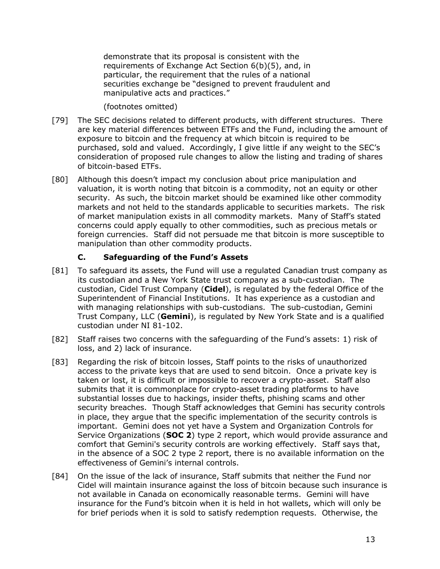demonstrate that its proposal is consistent with the requirements of Exchange Act Section 6(b)(5), and, in particular, the requirement that the rules of a national securities exchange be "designed to prevent fraudulent and manipulative acts and practices."

(footnotes omitted)

- [79] The SEC decisions related to different products, with different structures. There are key material differences between ETFs and the Fund, including the amount of exposure to bitcoin and the frequency at which bitcoin is required to be purchased, sold and valued. Accordingly, I give little if any weight to the SEC's consideration of proposed rule changes to allow the listing and trading of shares of bitcoin-based ETFs.
- [80] Although this doesn't impact my conclusion about price manipulation and valuation, it is worth noting that bitcoin is a commodity, not an equity or other security. As such, the bitcoin market should be examined like other commodity markets and not held to the standards applicable to securities markets. The risk of market manipulation exists in all commodity markets. Many of Staff's stated concerns could apply equally to other commodities, such as precious metals or foreign currencies. Staff did not persuade me that bitcoin is more susceptible to manipulation than other commodity products.

### **C. Safeguarding of the Fund's Assets**

- <span id="page-14-0"></span>[81] To safeguard its assets, the Fund will use a regulated Canadian trust company as its custodian and a New York State trust company as a sub-custodian. The custodian, Cidel Trust Company (**Cidel**), is regulated by the federal Office of the Superintendent of Financial Institutions. It has experience as a custodian and with managing relationships with sub-custodians. The sub-custodian, Gemini Trust Company, LLC (**Gemini**), is regulated by New York State and is a qualified custodian under NI 81-102.
- [82] Staff raises two concerns with the safeguarding of the Fund's assets: 1) risk of loss, and 2) lack of insurance.
- [83] Regarding the risk of bitcoin losses, Staff points to the risks of unauthorized access to the private keys that are used to send bitcoin. Once a private key is taken or lost, it is difficult or impossible to recover a crypto-asset. Staff also submits that it is commonplace for crypto-asset trading platforms to have substantial losses due to hackings, insider thefts, phishing scams and other security breaches. Though Staff acknowledges that Gemini has security controls in place, they argue that the specific implementation of the security controls is important. Gemini does not yet have a System and Organization Controls for Service Organizations (**SOC 2**) type 2 report, which would provide assurance and comfort that Gemini's security controls are working effectively. Staff says that, in the absence of a SOC 2 type 2 report, there is no available information on the effectiveness of Gemini's internal controls.
- [84] On the issue of the lack of insurance, Staff submits that neither the Fund nor Cidel will maintain insurance against the loss of bitcoin because such insurance is not available in Canada on economically reasonable terms. Gemini will have insurance for the Fund's bitcoin when it is held in hot wallets, which will only be for brief periods when it is sold to satisfy redemption requests. Otherwise, the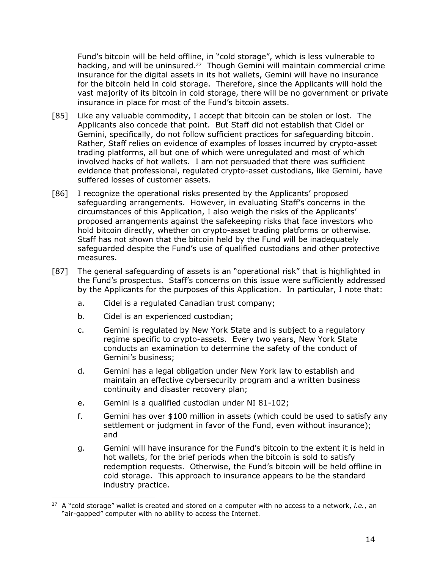Fund's bitcoin will be held offline, in "cold storage", which is less vulnerable to hacking, and will be uninsured.<sup>27</sup> Though Gemini will maintain commercial crime insurance for the digital assets in its hot wallets, Gemini will have no insurance for the bitcoin held in cold storage. Therefore, since the Applicants will hold the vast majority of its bitcoin in cold storage, there will be no government or private insurance in place for most of the Fund's bitcoin assets.

- [85] Like any valuable commodity, I accept that bitcoin can be stolen or lost. The Applicants also concede that point. But Staff did not establish that Cidel or Gemini, specifically, do not follow sufficient practices for safeguarding bitcoin. Rather, Staff relies on evidence of examples of losses incurred by crypto-asset trading platforms, all but one of which were unregulated and most of which involved hacks of hot wallets. I am not persuaded that there was sufficient evidence that professional, regulated crypto-asset custodians, like Gemini, have suffered losses of customer assets.
- [86] I recognize the operational risks presented by the Applicants' proposed safeguarding arrangements. However, in evaluating Staff's concerns in the circumstances of this Application, I also weigh the risks of the Applicants' proposed arrangements against the safekeeping risks that face investors who hold bitcoin directly, whether on crypto-asset trading platforms or otherwise. Staff has not shown that the bitcoin held by the Fund will be inadequately safeguarded despite the Fund's use of qualified custodians and other protective measures.
- [87] The general safeguarding of assets is an "operational risk" that is highlighted in the Fund's prospectus. Staff's concerns on this issue were sufficiently addressed by the Applicants for the purposes of this Application. In particular, I note that:
	- a. Cidel is a regulated Canadian trust company;
	- b. Cidel is an experienced custodian;
	- c. Gemini is regulated by New York State and is subject to a regulatory regime specific to crypto-assets. Every two years, New York State conducts an examination to determine the safety of the conduct of Gemini's business;
	- d. Gemini has a legal obligation under New York law to establish and maintain an effective cybersecurity program and a written business continuity and disaster recovery plan;
	- e. Gemini is a qualified custodian under NI 81-102;
	- f. Gemini has over \$100 million in assets (which could be used to satisfy any settlement or judgment in favor of the Fund, even without insurance); and
	- g. Gemini will have insurance for the Fund's bitcoin to the extent it is held in hot wallets, for the brief periods when the bitcoin is sold to satisfy redemption requests. Otherwise, the Fund's bitcoin will be held offline in cold storage. This approach to insurance appears to be the standard industry practice.

 $\overline{a}$ 27 A "cold storage" wallet is created and stored on a computer with no access to a network, *i.e.*, an "air-gapped" computer with no ability to access the Internet.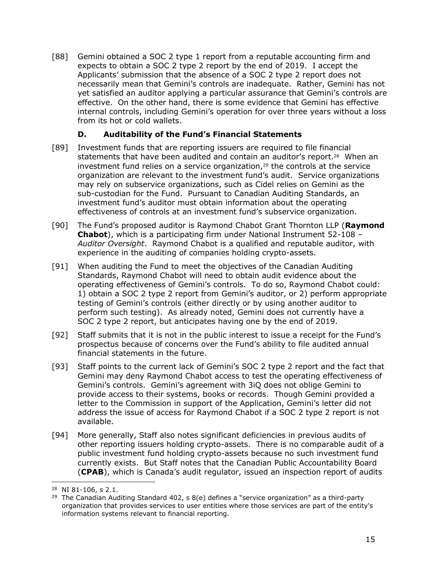[88] Gemini obtained a SOC 2 type 1 report from a reputable accounting firm and expects to obtain a SOC 2 type 2 report by the end of 2019. I accept the Applicants' submission that the absence of a SOC 2 type 2 report does not necessarily mean that Gemini's controls are inadequate. Rather, Gemini has not yet satisfied an auditor applying a particular assurance that Gemini's controls are effective. On the other hand, there is some evidence that Gemini has effective internal controls, including Gemini's operation for over three years without a loss from its hot or cold wallets.

## **D. Auditability of the Fund's Financial Statements**

- <span id="page-16-0"></span>[89] Investment funds that are reporting issuers are required to file financial statements that have been audited and contain an auditor's report.<sup>28</sup> When an investment fund relies on a service organization,<sup>29</sup> the controls at the service organization are relevant to the investment fund's audit. Service organizations may rely on subservice organizations, such as Cidel relies on Gemini as the sub-custodian for the Fund. Pursuant to Canadian Auditing Standards, an investment fund's auditor must obtain information about the operating effectiveness of controls at an investment fund's subservice organization.
- [90] The Fund's proposed auditor is Raymond Chabot Grant Thornton LLP (**Raymond Chabot**), which is a participating firm under National Instrument 52-108 – *Auditor Oversight*. Raymond Chabot is a qualified and reputable auditor, with experience in the auditing of companies holding crypto-assets.
- [91] When auditing the Fund to meet the objectives of the Canadian Auditing Standards, Raymond Chabot will need to obtain audit evidence about the operating effectiveness of Gemini's controls. To do so, Raymond Chabot could: 1) obtain a SOC 2 type 2 report from Gemini's auditor, or 2) perform appropriate testing of Gemini's controls (either directly or by using another auditor to perform such testing). As already noted, Gemini does not currently have a SOC 2 type 2 report, but anticipates having one by the end of 2019.
- [92] Staff submits that it is not in the public interest to issue a receipt for the Fund's prospectus because of concerns over the Fund's ability to file audited annual financial statements in the future.
- [93] Staff points to the current lack of Gemini's SOC 2 type 2 report and the fact that Gemini may deny Raymond Chabot access to test the operating effectiveness of Gemini's controls. Gemini's agreement with 3iQ does not oblige Gemini to provide access to their systems, books or records. Though Gemini provided a letter to the Commission in support of the Application, Gemini's letter did not address the issue of access for Raymond Chabot if a SOC 2 type 2 report is not available.
- [94] More generally, Staff also notes significant deficiencies in previous audits of other reporting issuers holding crypto-assets. There is no comparable audit of a public investment fund holding crypto-assets because no such investment fund currently exists. But Staff notes that the Canadian Public Accountability Board (**CPAB**), which is Canada's audit regulator, issued an inspection report of audits

<sup>28</sup> NI 81-106, s 2.1.

<sup>&</sup>lt;sup>29</sup> The Canadian Auditing Standard 402, s  $8(e)$  defines a "service organization" as a third-party organization that provides services to user entities where those services are part of the entity's information systems relevant to financial reporting.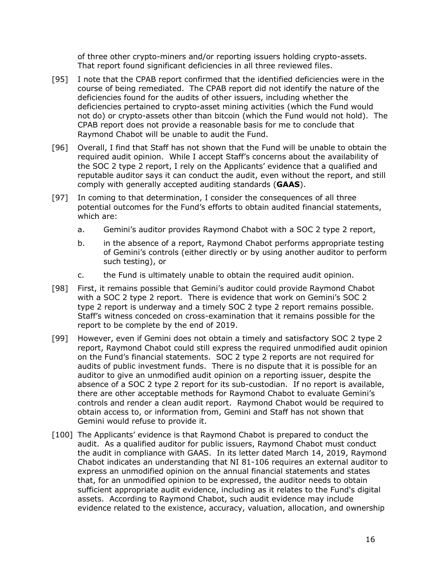of three other crypto-miners and/or reporting issuers holding crypto-assets. That report found significant deficiencies in all three reviewed files.

- [95] I note that the CPAB report confirmed that the identified deficiencies were in the course of being remediated. The CPAB report did not identify the nature of the deficiencies found for the audits of other issuers, including whether the deficiencies pertained to crypto-asset mining activities (which the Fund would not do) or crypto-assets other than bitcoin (which the Fund would not hold). The CPAB report does not provide a reasonable basis for me to conclude that Raymond Chabot will be unable to audit the Fund.
- [96] Overall, I find that Staff has not shown that the Fund will be unable to obtain the required audit opinion. While I accept Staff's concerns about the availability of the SOC 2 type 2 report, I rely on the Applicants' evidence that a qualified and reputable auditor says it can conduct the audit, even without the report, and still comply with generally accepted auditing standards (**GAAS**).
- [97] In coming to that determination, I consider the consequences of all three potential outcomes for the Fund's efforts to obtain audited financial statements, which are:
	- a. Gemini's auditor provides Raymond Chabot with a SOC 2 type 2 report,
	- b. in the absence of a report, Raymond Chabot performs appropriate testing of Gemini's controls (either directly or by using another auditor to perform such testing), or
	- c. the Fund is ultimately unable to obtain the required audit opinion.
- [98] First, it remains possible that Gemini's auditor could provide Raymond Chabot with a SOC 2 type 2 report. There is evidence that work on Gemini's SOC 2 type 2 report is underway and a timely SOC 2 type 2 report remains possible. Staff's witness conceded on cross-examination that it remains possible for the report to be complete by the end of 2019.
- [99] However, even if Gemini does not obtain a timely and satisfactory SOC 2 type 2 report, Raymond Chabot could still express the required unmodified audit opinion on the Fund's financial statements. SOC 2 type 2 reports are not required for audits of public investment funds. There is no dispute that it is possible for an auditor to give an unmodified audit opinion on a reporting issuer, despite the absence of a SOC 2 type 2 report for its sub-custodian. If no report is available, there are other acceptable methods for Raymond Chabot to evaluate Gemini's controls and render a clean audit report. Raymond Chabot would be required to obtain access to, or information from, Gemini and Staff has not shown that Gemini would refuse to provide it.
- [100] The Applicants' evidence is that Raymond Chabot is prepared to conduct the audit. As a qualified auditor for public issuers, Raymond Chabot must conduct the audit in compliance with GAAS. In its letter dated March 14, 2019, Raymond Chabot indicates an understanding that NI 81-106 requires an external auditor to express an unmodified opinion on the annual financial statements and states that, for an unmodified opinion to be expressed, the auditor needs to obtain sufficient appropriate audit evidence, including as it relates to the Fund's digital assets. According to Raymond Chabot, such audit evidence may include evidence related to the existence, accuracy, valuation, allocation, and ownership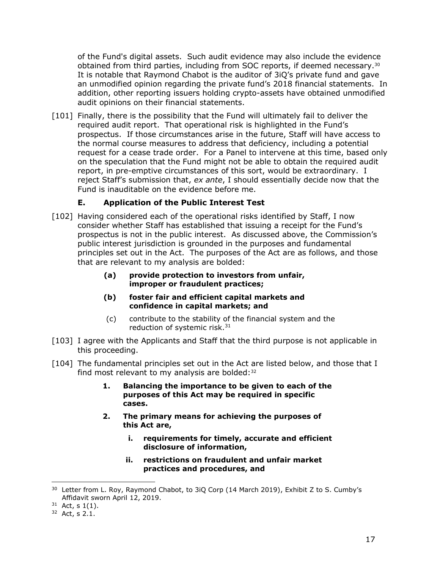of the Fund's digital assets. Such audit evidence may also include the evidence obtained from third parties, including from SOC reports, if deemed necessary. $30$ It is notable that Raymond Chabot is the auditor of 3iQ's private fund and gave an unmodified opinion regarding the private fund's 2018 financial statements. In addition, other reporting issuers holding crypto-assets have obtained unmodified audit opinions on their financial statements.

[101] Finally, there is the possibility that the Fund will ultimately fail to deliver the required audit report. That operational risk is highlighted in the Fund's prospectus. If those circumstances arise in the future, Staff will have access to the normal course measures to address that deficiency, including a potential request for a cease trade order. For a Panel to intervene at this time, based only on the speculation that the Fund might not be able to obtain the required audit report, in pre-emptive circumstances of this sort, would be extraordinary. I reject Staff's submission that, *ex ante*, I should essentially decide now that the Fund is inauditable on the evidence before me.

# **E. Application of the Public Interest Test**

- <span id="page-18-0"></span>[102] Having considered each of the operational risks identified by Staff, I now consider whether Staff has established that issuing a receipt for the Fund's prospectus is not in the public interest. As discussed above, the Commission's public interest jurisdiction is grounded in the purposes and fundamental principles set out in the Act. The purposes of the Act are as follows, and those that are relevant to my analysis are bolded:
	- **(a) provide protection to investors from unfair, improper or fraudulent practices;**
	- **(b) foster fair and efficient capital markets and confidence in capital markets; and**
	- (c) contribute to the stability of the financial system and the reduction of systemic risk.<sup>31</sup>
- [103] I agree with the Applicants and Staff that the third purpose is not applicable in this proceeding.
- [104] The fundamental principles set out in the Act are listed below, and those that I find most relevant to my analysis are bolded: 32
	- **1. Balancing the importance to be given to each of the purposes of this Act may be required in specific cases.**
	- **2. The primary means for achieving the purposes of this Act are,**
		- **i. requirements for timely, accurate and efficient disclosure of information,**
		- **ii. restrictions on fraudulent and unfair market practices and procedures, and**

<sup>&</sup>lt;sup>30</sup> Letter from L. Roy, Raymond Chabot, to 3iQ Corp (14 March 2019), Exhibit Z to S. Cumby's Affidavit sworn April 12, 2019.

 $31$  Act, s 1(1).

 $32$  Act, s 2.1.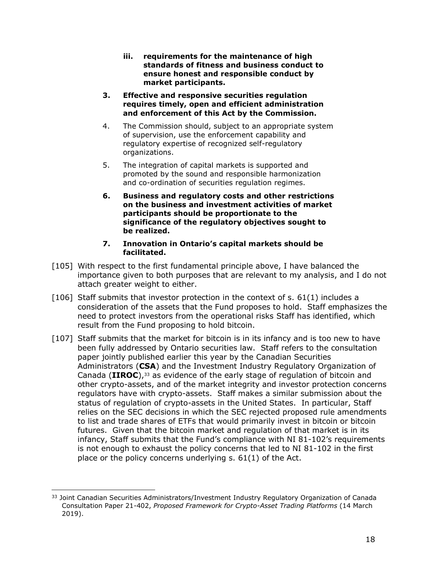- **iii. requirements for the maintenance of high standards of fitness and business conduct to ensure honest and responsible conduct by market participants.**
- **3. Effective and responsive securities regulation requires timely, open and efficient administration and enforcement of this Act by the Commission.**
- 4. The Commission should, subject to an appropriate system of supervision, use the enforcement capability and regulatory expertise of recognized self-regulatory organizations.
- 5. The integration of capital markets is supported and promoted by the sound and responsible harmonization and co-ordination of securities regulation regimes.
- **6. Business and regulatory costs and other restrictions on the business and investment activities of market participants should be proportionate to the significance of the regulatory objectives sought to be realized.**
- **7. Innovation in Ontario's capital markets should be facilitated.**
- [105] With respect to the first fundamental principle above, I have balanced the importance given to both purposes that are relevant to my analysis, and I do not attach greater weight to either.
- [106] Staff submits that investor protection in the context of s. 61(1) includes a consideration of the assets that the Fund proposes to hold. Staff emphasizes the need to protect investors from the operational risks Staff has identified, which result from the Fund proposing to hold bitcoin.
- [107] Staff submits that the market for bitcoin is in its infancy and is too new to have been fully addressed by Ontario securities law. Staff refers to the consultation paper jointly published earlier this year by the Canadian Securities Administrators (**CSA**) and the Investment Industry Regulatory Organization of Canada (**IIROC**), <sup>33</sup> as evidence of the early stage of regulation of bitcoin and other crypto-assets, and of the market integrity and investor protection concerns regulators have with crypto-assets. Staff makes a similar submission about the status of regulation of crypto-assets in the United States. In particular, Staff relies on the SEC decisions in which the SEC rejected proposed rule amendments to list and trade shares of ETFs that would primarily invest in bitcoin or bitcoin futures. Given that the bitcoin market and regulation of that market is in its infancy, Staff submits that the Fund's compliance with NI 81-102's requirements is not enough to exhaust the policy concerns that led to NI 81-102 in the first place or the policy concerns underlying s. 61(1) of the Act.

 $\overline{a}$ <sup>33</sup> Joint Canadian Securities Administrators/Investment Industry Regulatory Organization of Canada Consultation Paper 21-402, *Proposed Framework for Crypto-Asset Trading Platforms* (14 March 2019).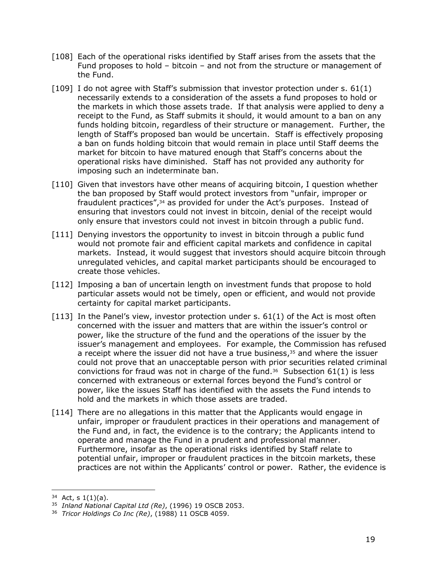- [108] Each of the operational risks identified by Staff arises from the assets that the Fund proposes to hold – bitcoin – and not from the structure or management of the Fund.
- [109] I do not agree with Staff's submission that investor protection under s. 61(1) necessarily extends to a consideration of the assets a fund proposes to hold or the markets in which those assets trade. If that analysis were applied to deny a receipt to the Fund, as Staff submits it should, it would amount to a ban on any funds holding bitcoin, regardless of their structure or management. Further, the length of Staff's proposed ban would be uncertain. Staff is effectively proposing a ban on funds holding bitcoin that would remain in place until Staff deems the market for bitcoin to have matured enough that Staff's concerns about the operational risks have diminished. Staff has not provided any authority for imposing such an indeterminate ban.
- [110] Given that investors have other means of acquiring bitcoin, I question whether the ban proposed by Staff would protect investors from "unfair, improper or fraudulent practices",<sup>34</sup> as provided for under the Act's purposes. Instead of ensuring that investors could not invest in bitcoin, denial of the receipt would only ensure that investors could not invest in bitcoin through a public fund.
- [111] Denying investors the opportunity to invest in bitcoin through a public fund would not promote fair and efficient capital markets and confidence in capital markets. Instead, it would suggest that investors should acquire bitcoin through unregulated vehicles, and capital market participants should be encouraged to create those vehicles.
- [112] Imposing a ban of uncertain length on investment funds that propose to hold particular assets would not be timely, open or efficient, and would not provide certainty for capital market participants.
- $[113]$  In the Panel's view, investor protection under s.  $61(1)$  of the Act is most often concerned with the issuer and matters that are within the issuer's control or power, like the structure of the fund and the operations of the issuer by the issuer's management and employees. For example, the Commission has refused a receipt where the issuer did not have a true business, <sup>35</sup> and where the issuer could not prove that an unacceptable person with prior securities related criminal convictions for fraud was not in charge of the fund.<sup>36</sup> Subsection  $61(1)$  is less concerned with extraneous or external forces beyond the Fund's control or power, like the issues Staff has identified with the assets the Fund intends to hold and the markets in which those assets are traded.
- [114] There are no allegations in this matter that the Applicants would engage in unfair, improper or fraudulent practices in their operations and management of the Fund and, in fact, the evidence is to the contrary; the Applicants intend to operate and manage the Fund in a prudent and professional manner. Furthermore, insofar as the operational risks identified by Staff relate to potential unfair, improper or fraudulent practices in the bitcoin markets, these practices are not within the Applicants' control or power. Rather, the evidence is

 $34$  Act, s 1(1)(a).

<sup>35</sup> *Inland National Capital Ltd (Re)*, (1996) 19 OSCB 2053.

<sup>36</sup> *Tricor Holdings Co Inc (Re)*, (1988) 11 OSCB 4059.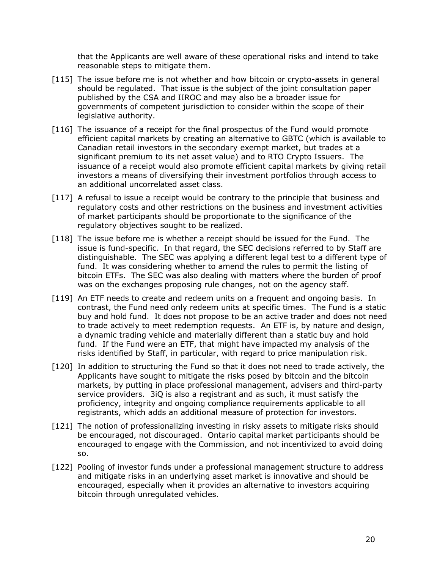that the Applicants are well aware of these operational risks and intend to take reasonable steps to mitigate them.

- [115] The issue before me is not whether and how bitcoin or crypto-assets in general should be regulated. That issue is the subject of the joint consultation paper published by the CSA and IIROC and may also be a broader issue for governments of competent jurisdiction to consider within the scope of their legislative authority.
- [116] The issuance of a receipt for the final prospectus of the Fund would promote efficient capital markets by creating an alternative to GBTC (which is available to Canadian retail investors in the secondary exempt market, but trades at a significant premium to its net asset value) and to RTO Crypto Issuers. The issuance of a receipt would also promote efficient capital markets by giving retail investors a means of diversifying their investment portfolios through access to an additional uncorrelated asset class.
- [117] A refusal to issue a receipt would be contrary to the principle that business and regulatory costs and other restrictions on the business and investment activities of market participants should be proportionate to the significance of the regulatory objectives sought to be realized.
- [118] The issue before me is whether a receipt should be issued for the Fund. The issue is fund-specific. In that regard, the SEC decisions referred to by Staff are distinguishable. The SEC was applying a different legal test to a different type of fund. It was considering whether to amend the rules to permit the listing of bitcoin ETFs. The SEC was also dealing with matters where the burden of proof was on the exchanges proposing rule changes, not on the agency staff.
- [119] An ETF needs to create and redeem units on a frequent and ongoing basis. In contrast, the Fund need only redeem units at specific times. The Fund is a static buy and hold fund. It does not propose to be an active trader and does not need to trade actively to meet redemption requests. An ETF is, by nature and design, a dynamic trading vehicle and materially different than a static buy and hold fund. If the Fund were an ETF, that might have impacted my analysis of the risks identified by Staff, in particular, with regard to price manipulation risk.
- [120] In addition to structuring the Fund so that it does not need to trade actively, the Applicants have sought to mitigate the risks posed by bitcoin and the bitcoin markets, by putting in place professional management, advisers and third-party service providers. 3iQ is also a registrant and as such, it must satisfy the proficiency, integrity and ongoing compliance requirements applicable to all registrants, which adds an additional measure of protection for investors.
- [121] The notion of professionalizing investing in risky assets to mitigate risks should be encouraged, not discouraged. Ontario capital market participants should be encouraged to engage with the Commission, and not incentivized to avoid doing so.
- [122] Pooling of investor funds under a professional management structure to address and mitigate risks in an underlying asset market is innovative and should be encouraged, especially when it provides an alternative to investors acquiring bitcoin through unregulated vehicles.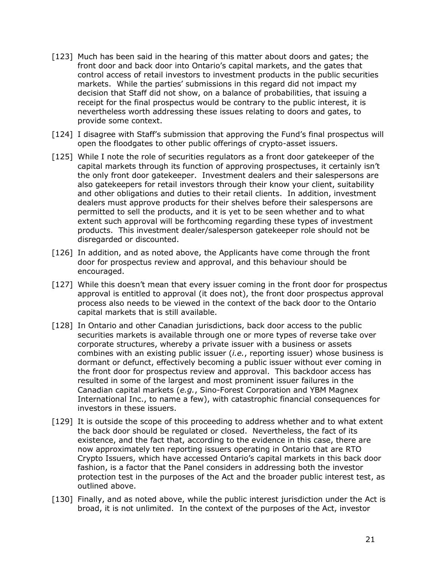- [123] Much has been said in the hearing of this matter about doors and gates; the front door and back door into Ontario's capital markets, and the gates that control access of retail investors to investment products in the public securities markets. While the parties' submissions in this regard did not impact my decision that Staff did not show, on a balance of probabilities, that issuing a receipt for the final prospectus would be contrary to the public interest, it is nevertheless worth addressing these issues relating to doors and gates, to provide some context.
- [124] I disagree with Staff's submission that approving the Fund's final prospectus will open the floodgates to other public offerings of crypto-asset issuers.
- [125] While I note the role of securities regulators as a front door gatekeeper of the capital markets through its function of approving prospectuses, it certainly isn't the only front door gatekeeper. Investment dealers and their salespersons are also gatekeepers for retail investors through their know your client, suitability and other obligations and duties to their retail clients. In addition, investment dealers must approve products for their shelves before their salespersons are permitted to sell the products, and it is yet to be seen whether and to what extent such approval will be forthcoming regarding these types of investment products. This investment dealer/salesperson gatekeeper role should not be disregarded or discounted.
- [126] In addition, and as noted above, the Applicants have come through the front door for prospectus review and approval, and this behaviour should be encouraged.
- [127] While this doesn't mean that every issuer coming in the front door for prospectus approval is entitled to approval (it does not), the front door prospectus approval process also needs to be viewed in the context of the back door to the Ontario capital markets that is still available.
- [128] In Ontario and other Canadian jurisdictions, back door access to the public securities markets is available through one or more types of reverse take over corporate structures, whereby a private issuer with a business or assets combines with an existing public issuer (*i.e.*, reporting issuer) whose business is dormant or defunct, effectively becoming a public issuer without ever coming in the front door for prospectus review and approval. This backdoor access has resulted in some of the largest and most prominent issuer failures in the Canadian capital markets (*e.g.*, Sino-Forest Corporation and YBM Magnex International Inc., to name a few), with catastrophic financial consequences for investors in these issuers.
- [129] It is outside the scope of this proceeding to address whether and to what extent the back door should be regulated or closed. Nevertheless, the fact of its existence, and the fact that, according to the evidence in this case, there are now approximately ten reporting issuers operating in Ontario that are RTO Crypto Issuers, which have accessed Ontario's capital markets in this back door fashion, is a factor that the Panel considers in addressing both the investor protection test in the purposes of the Act and the broader public interest test, as outlined above.
- [130] Finally, and as noted above, while the public interest jurisdiction under the Act is broad, it is not unlimited. In the context of the purposes of the Act, investor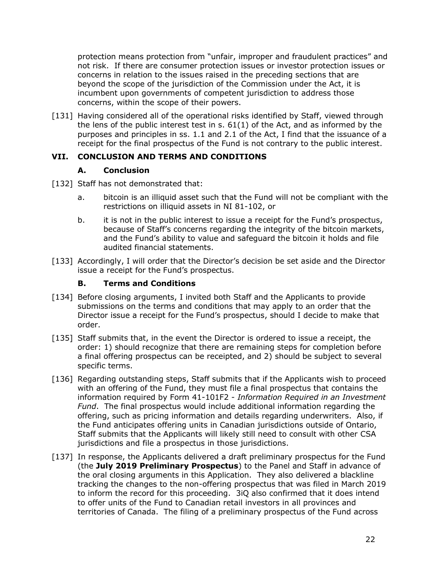protection means protection from "unfair, improper and fraudulent practices" and not risk. If there are consumer protection issues or investor protection issues or concerns in relation to the issues raised in the preceding sections that are beyond the scope of the jurisdiction of the Commission under the Act, it is incumbent upon governments of competent jurisdiction to address those concerns, within the scope of their powers.

[131] Having considered all of the operational risks identified by Staff, viewed through the lens of the public interest test in  $s. 61(1)$  of the Act, and as informed by the purposes and principles in ss. 1.1 and 2.1 of the Act, I find that the issuance of a receipt for the final prospectus of the Fund is not contrary to the public interest.

## <span id="page-23-0"></span>**VII. CONCLUSION AND TERMS AND CONDITIONS**

# **A. Conclusion**

- <span id="page-23-1"></span>[132] Staff has not demonstrated that:
	- a. bitcoin is an illiquid asset such that the Fund will not be compliant with the restrictions on illiquid assets in NI 81-102, or
	- b. it is not in the public interest to issue a receipt for the Fund's prospectus, because of Staff's concerns regarding the integrity of the bitcoin markets, and the Fund's ability to value and safeguard the bitcoin it holds and file audited financial statements.
- [133] Accordingly, I will order that the Director's decision be set aside and the Director issue a receipt for the Fund's prospectus.

# **B. Terms and Conditions**

- <span id="page-23-2"></span>[134] Before closing arguments, I invited both Staff and the Applicants to provide submissions on the terms and conditions that may apply to an order that the Director issue a receipt for the Fund's prospectus, should I decide to make that order.
- [135] Staff submits that, in the event the Director is ordered to issue a receipt, the order: 1) should recognize that there are remaining steps for completion before a final offering prospectus can be receipted, and 2) should be subject to several specific terms.
- [136] Regarding outstanding steps, Staff submits that if the Applicants wish to proceed with an offering of the Fund, they must file a final prospectus that contains the information required by Form 41-101F2 - *Information Required in an Investment Fund*. The final prospectus would include additional information regarding the offering, such as pricing information and details regarding underwriters. Also, if the Fund anticipates offering units in Canadian jurisdictions outside of Ontario, Staff submits that the Applicants will likely still need to consult with other CSA jurisdictions and file a prospectus in those jurisdictions.
- [137] In response, the Applicants delivered a draft preliminary prospectus for the Fund (the **July 2019 Preliminary Prospectus**) to the Panel and Staff in advance of the oral closing arguments in this Application. They also delivered a blackline tracking the changes to the non-offering prospectus that was filed in March 2019 to inform the record for this proceeding. 3iQ also confirmed that it does intend to offer units of the Fund to Canadian retail investors in all provinces and territories of Canada. The filing of a preliminary prospectus of the Fund across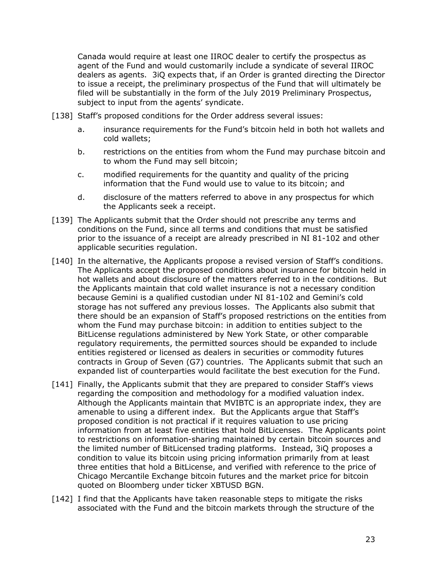Canada would require at least one IIROC dealer to certify the prospectus as agent of the Fund and would customarily include a syndicate of several IIROC dealers as agents. 3iQ expects that, if an Order is granted directing the Director to issue a receipt, the preliminary prospectus of the Fund that will ultimately be filed will be substantially in the form of the July 2019 Preliminary Prospectus, subject to input from the agents' syndicate.

- [138] Staff's proposed conditions for the Order address several issues:
	- a. insurance requirements for the Fund's bitcoin held in both hot wallets and cold wallets;
	- b. restrictions on the entities from whom the Fund may purchase bitcoin and to whom the Fund may sell bitcoin;
	- c. modified requirements for the quantity and quality of the pricing information that the Fund would use to value to its bitcoin; and
	- d. disclosure of the matters referred to above in any prospectus for which the Applicants seek a receipt.
- <span id="page-24-0"></span>[139] The Applicants submit that the Order should not prescribe any terms and conditions on the Fund, since all terms and conditions that must be satisfied prior to the issuance of a receipt are already prescribed in NI 81-102 and other applicable securities regulation.
- [140] In the alternative, the Applicants propose a revised version of Staff's conditions. The Applicants accept the proposed conditions about insurance for bitcoin held in hot wallets and about disclosure of the matters referred to in the conditions. But the Applicants maintain that cold wallet insurance is not a necessary condition because Gemini is a qualified custodian under NI 81-102 and Gemini's cold storage has not suffered any previous losses. The Applicants also submit that there should be an expansion of Staff's proposed restrictions on the entities from whom the Fund may purchase bitcoin: in addition to entities subject to the BitLicense regulations administered by New York State, or other comparable regulatory requirements, the permitted sources should be expanded to include entities registered or licensed as dealers in securities or commodity futures contracts in Group of Seven (G7) countries. The Applicants submit that such an expanded list of counterparties would facilitate the best execution for the Fund.
- [141] Finally, the Applicants submit that they are prepared to consider Staff's views regarding the composition and methodology for a modified valuation index. Although the Applicants maintain that MVIBTC is an appropriate index, they are amenable to using a different index. But the Applicants argue that Staff's proposed condition is not practical if it requires valuation to use pricing information from at least five entities that hold BitLicenses. The Applicants point to restrictions on information-sharing maintained by certain bitcoin sources and the limited number of BitLicensed trading platforms. Instead, 3iQ proposes a condition to value its bitcoin using pricing information primarily from at least three entities that hold a BitLicense, and verified with reference to the price of Chicago Mercantile Exchange bitcoin futures and the market price for bitcoin quoted on Bloomberg under ticker XBTUSD BGN.
- [142] I find that the Applicants have taken reasonable steps to mitigate the risks associated with the Fund and the bitcoin markets through the structure of the